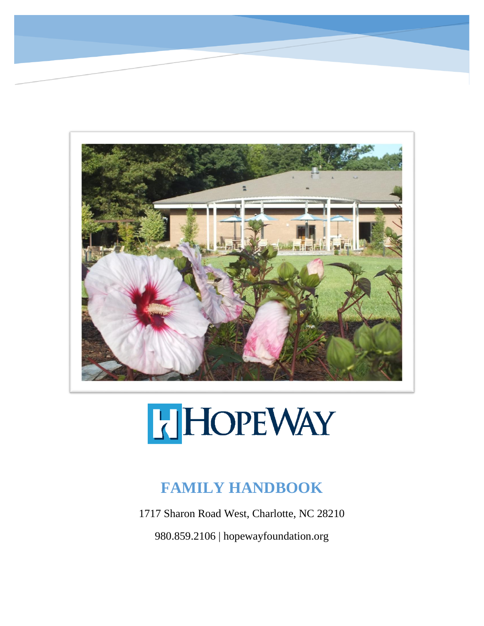

## HOPEWAY

## **FAMILY HANDBOOK**

1717 Sharon Road West, Charlotte, NC 28210

980.859.2106 | hopewayfoundation.org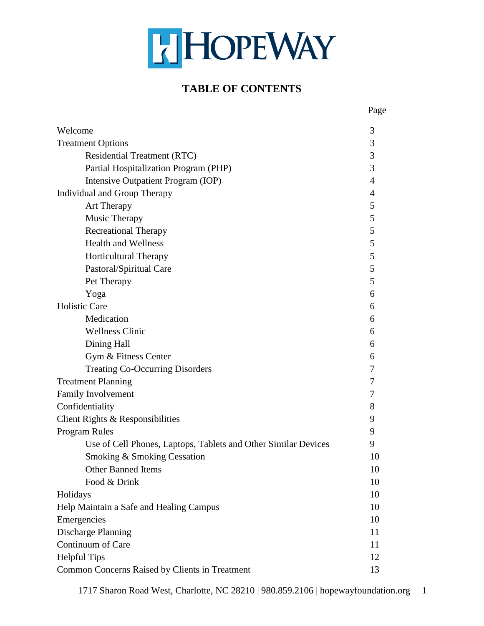## HOPEWAY

## **TABLE OF CONTENTS**

|                                                                | Page           |
|----------------------------------------------------------------|----------------|
| Welcome                                                        | 3              |
| <b>Treatment Options</b>                                       | 3              |
| <b>Residential Treatment (RTC)</b>                             | 3              |
| Partial Hospitalization Program (PHP)                          | 3              |
| Intensive Outpatient Program (IOP)                             | $\overline{4}$ |
| Individual and Group Therapy                                   |                |
| Art Therapy                                                    | 5              |
| Music Therapy                                                  | 5              |
| <b>Recreational Therapy</b>                                    | 5              |
| <b>Health and Wellness</b>                                     | 5              |
| Horticultural Therapy                                          | 5              |
| Pastoral/Spiritual Care                                        | 5              |
| Pet Therapy                                                    | 5              |
| Yoga                                                           | 6              |
| <b>Holistic Care</b>                                           | 6              |
| Medication                                                     | 6              |
| <b>Wellness Clinic</b>                                         | 6              |
| Dining Hall                                                    | 6              |
| Gym & Fitness Center                                           | 6              |
| <b>Treating Co-Occurring Disorders</b>                         | 7              |
| <b>Treatment Planning</b>                                      | 7              |
| Family Involvement                                             | 7              |
| Confidentiality                                                | 8              |
| Client Rights & Responsibilities                               | 9              |
| Program Rules                                                  | 9              |
| Use of Cell Phones, Laptops, Tablets and Other Similar Devices | 9              |
| Smoking & Smoking Cessation                                    | 10             |
| <b>Other Banned Items</b>                                      | 10             |
| Food & Drink                                                   | 10             |
| Holidays                                                       | 10             |
| Help Maintain a Safe and Healing Campus                        | 10             |
| Emergencies                                                    | 10             |
| Discharge Planning                                             | 11             |
| Continuum of Care                                              | 11             |
| <b>Helpful Tips</b>                                            | 12             |
| Common Concerns Raised by Clients in Treatment                 | 13             |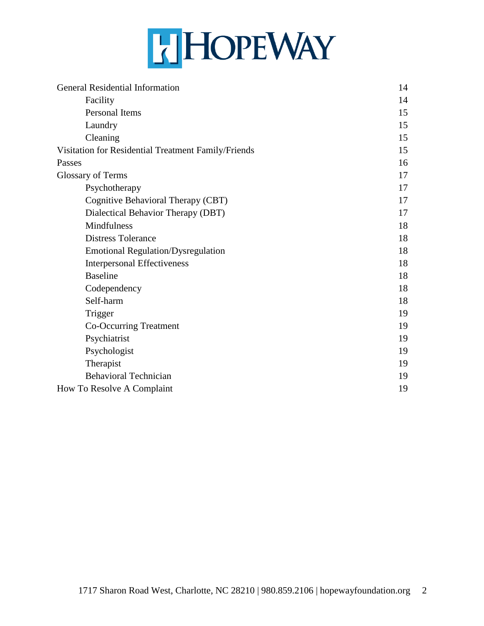## HHOPEWAY

| General Residential Information                     | 14 |
|-----------------------------------------------------|----|
| Facility                                            | 14 |
| Personal Items                                      | 15 |
| Laundry                                             | 15 |
| Cleaning                                            | 15 |
| Visitation for Residential Treatment Family/Friends | 15 |
| Passes                                              | 16 |
| <b>Glossary of Terms</b>                            | 17 |
| Psychotherapy                                       | 17 |
| Cognitive Behavioral Therapy (CBT)                  | 17 |
| Dialectical Behavior Therapy (DBT)                  | 17 |
| Mindfulness                                         | 18 |
| <b>Distress Tolerance</b>                           | 18 |
| <b>Emotional Regulation/Dysregulation</b>           | 18 |
| <b>Interpersonal Effectiveness</b>                  | 18 |
| <b>Baseline</b>                                     | 18 |
| Codependency                                        | 18 |
| Self-harm                                           | 18 |
| Trigger                                             | 19 |
| Co-Occurring Treatment                              | 19 |
| Psychiatrist                                        | 19 |
| Psychologist                                        | 19 |
| Therapist                                           | 19 |
| <b>Behavioral Technician</b>                        | 19 |
| How To Resolve A Complaint                          | 19 |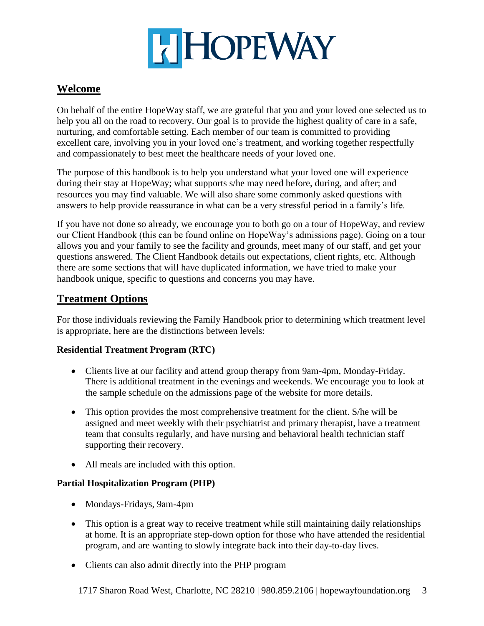

## **Welcome**

On behalf of the entire HopeWay staff, we are grateful that you and your loved one selected us to help you all on the road to recovery. Our goal is to provide the highest quality of care in a safe, nurturing, and comfortable setting. Each member of our team is committed to providing excellent care, involving you in your loved one's treatment, and working together respectfully and compassionately to best meet the healthcare needs of your loved one.

The purpose of this handbook is to help you understand what your loved one will experience during their stay at HopeWay; what supports s/he may need before, during, and after; and resources you may find valuable. We will also share some commonly asked questions with answers to help provide reassurance in what can be a very stressful period in a family's life.

If you have not done so already, we encourage you to both go on a tour of HopeWay, and review our Client Handbook (this can be found online on HopeWay's admissions page). Going on a tour allows you and your family to see the facility and grounds, meet many of our staff, and get your questions answered. The Client Handbook details out expectations, client rights, etc. Although there are some sections that will have duplicated information, we have tried to make your handbook unique, specific to questions and concerns you may have.

## **Treatment Options**

For those individuals reviewing the Family Handbook prior to determining which treatment level is appropriate, here are the distinctions between levels:

#### **Residential Treatment Program (RTC)**

- Clients live at our facility and attend group therapy from 9am-4pm, Monday-Friday. There is additional treatment in the evenings and weekends. We encourage you to look at the sample schedule on the admissions page of the website for more details.
- This option provides the most comprehensive treatment for the client. S/he will be assigned and meet weekly with their psychiatrist and primary therapist, have a treatment team that consults regularly, and have nursing and behavioral health technician staff supporting their recovery.
- All meals are included with this option.

#### **Partial Hospitalization Program (PHP)**

- Mondays-Fridays, 9am-4pm
- This option is a great way to receive treatment while still maintaining daily relationships at home. It is an appropriate step-down option for those who have attended the residential program, and are wanting to slowly integrate back into their day-to-day lives.
- Clients can also admit directly into the PHP program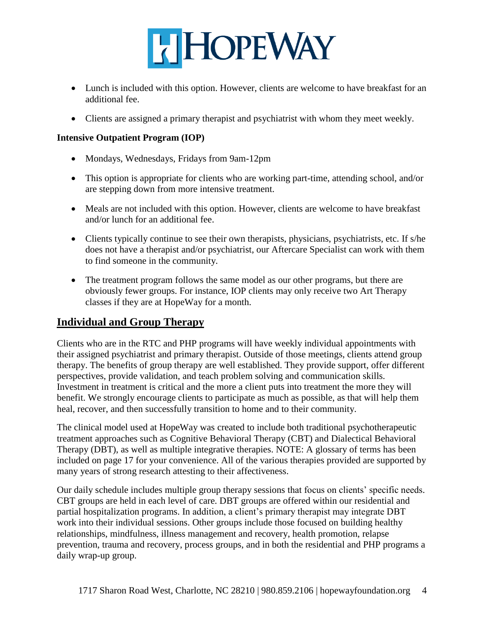

- Lunch is included with this option. However, clients are welcome to have breakfast for an additional fee.
- Clients are assigned a primary therapist and psychiatrist with whom they meet weekly.

#### **Intensive Outpatient Program (IOP)**

- Mondays, Wednesdays, Fridays from 9am-12pm
- This option is appropriate for clients who are working part-time, attending school, and/or are stepping down from more intensive treatment.
- Meals are not included with this option. However, clients are welcome to have breakfast and/or lunch for an additional fee.
- Clients typically continue to see their own therapists, physicians, psychiatrists, etc. If s/he does not have a therapist and/or psychiatrist, our Aftercare Specialist can work with them to find someone in the community.
- The treatment program follows the same model as our other programs, but there are obviously fewer groups. For instance, IOP clients may only receive two Art Therapy classes if they are at HopeWay for a month.

#### **Individual and Group Therapy**

Clients who are in the RTC and PHP programs will have weekly individual appointments with their assigned psychiatrist and primary therapist. Outside of those meetings, clients attend group therapy. The benefits of group therapy are well established. They provide support, offer different perspectives, provide validation, and teach problem solving and communication skills. Investment in treatment is critical and the more a client puts into treatment the more they will benefit. We strongly encourage clients to participate as much as possible, as that will help them heal, recover, and then successfully transition to home and to their community.

The clinical model used at HopeWay was created to include both traditional psychotherapeutic treatment approaches such as Cognitive Behavioral Therapy (CBT) and Dialectical Behavioral Therapy (DBT), as well as multiple integrative therapies. NOTE: A glossary of terms has been included on page 17 for your convenience. All of the various therapies provided are supported by many years of strong research attesting to their affectiveness.

Our daily schedule includes multiple group therapy sessions that focus on clients' specific needs. CBT groups are held in each level of care. DBT groups are offered within our residential and partial hospitalization programs. In addition, a client's primary therapist may integrate DBT work into their individual sessions. Other groups include those focused on building healthy relationships, mindfulness, illness management and recovery, health promotion, relapse prevention, trauma and recovery, process groups, and in both the residential and PHP programs a daily wrap-up group.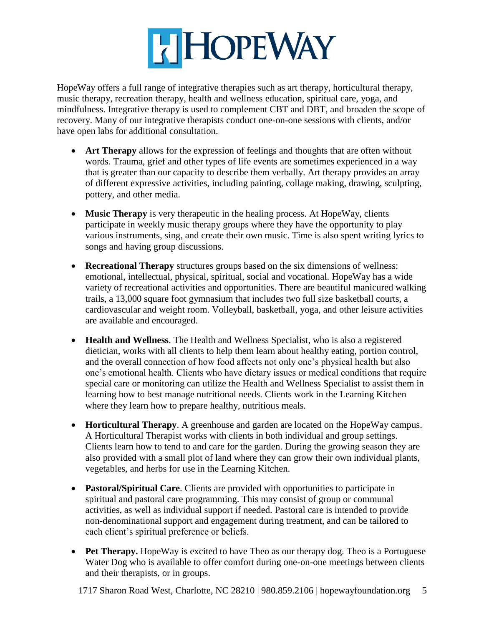

HopeWay offers a full range of integrative therapies such as art therapy, horticultural therapy, music therapy, recreation therapy, health and wellness education, spiritual care, yoga, and mindfulness. Integrative therapy is used to complement CBT and DBT, and broaden the scope of recovery. Many of our integrative therapists conduct one-on-one sessions with clients, and/or have open labs for additional consultation.

- **Art Therapy** allows for the expression of feelings and thoughts that are often without words. Trauma, grief and other types of life events are sometimes experienced in a way that is greater than our capacity to describe them verbally. Art therapy provides an array of different expressive activities, including painting, collage making, drawing, sculpting, pottery, and other media.
- **Music Therapy** is very therapeutic in the healing process. At HopeWay, clients participate in weekly music therapy groups where they have the opportunity to play various instruments, sing, and create their own music. Time is also spent writing lyrics to songs and having group discussions.
- **Recreational Therapy** structures groups based on the six dimensions of wellness: emotional, intellectual, physical, spiritual, social and vocational. HopeWay has a wide variety of recreational activities and opportunities. There are beautiful manicured walking trails, a 13,000 square foot gymnasium that includes two full size basketball courts, a cardiovascular and weight room. Volleyball, basketball, yoga, and other leisure activities are available and encouraged.
- **Health and Wellness**. The Health and Wellness Specialist, who is also a registered dietician, works with all clients to help them learn about healthy eating, portion control, and the overall connection of how food affects not only one's physical health but also one's emotional health. Clients who have dietary issues or medical conditions that require special care or monitoring can utilize the Health and Wellness Specialist to assist them in learning how to best manage nutritional needs. Clients work in the Learning Kitchen where they learn how to prepare healthy, nutritious meals.
- **Horticultural Therapy**. A greenhouse and garden are located on the HopeWay campus. A Horticultural Therapist works with clients in both individual and group settings. Clients learn how to tend to and care for the garden. During the growing season they are also provided with a small plot of land where they can grow their own individual plants, vegetables, and herbs for use in the Learning Kitchen.
- **Pastoral/Spiritual Care**. Clients are provided with opportunities to participate in spiritual and pastoral care programming. This may consist of group or communal activities, as well as individual support if needed. Pastoral care is intended to provide non-denominational support and engagement during treatment, and can be tailored to each client's spiritual preference or beliefs.
- Pet Therapy. Hope Way is excited to have Theo as our therapy dog. Theo is a Portuguese Water Dog who is available to offer comfort during one-on-one meetings between clients and their therapists, or in groups.

1717 Sharon Road West, Charlotte, NC 28210 | 980.859.2106 | hopewayfoundation.org 5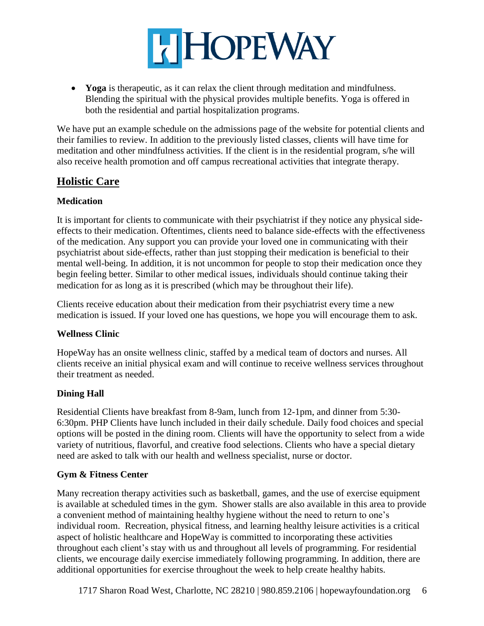

 **Yoga** is therapeutic, as it can relax the client through meditation and mindfulness. Blending the spiritual with the physical provides multiple benefits. Yoga is offered in both the residential and partial hospitalization programs.

We have put an example schedule on the admissions page of the website for potential clients and their families to review. In addition to the previously listed classes, clients will have time for meditation and other mindfulness activities. If the client is in the residential program, s/he will also receive health promotion and off campus recreational activities that integrate therapy.

## **Holistic Care**

#### **Medication**

It is important for clients to communicate with their psychiatrist if they notice any physical sideeffects to their medication. Oftentimes, clients need to balance side-effects with the effectiveness of the medication. Any support you can provide your loved one in communicating with their psychiatrist about side-effects, rather than just stopping their medication is beneficial to their mental well-being. In addition, it is not uncommon for people to stop their medication once they begin feeling better. Similar to other medical issues, individuals should continue taking their medication for as long as it is prescribed (which may be throughout their life).

Clients receive education about their medication from their psychiatrist every time a new medication is issued. If your loved one has questions, we hope you will encourage them to ask.

#### **Wellness Clinic**

HopeWay has an onsite wellness clinic, staffed by a medical team of doctors and nurses. All clients receive an initial physical exam and will continue to receive wellness services throughout their treatment as needed.

#### **Dining Hall**

Residential Clients have breakfast from 8-9am, lunch from 12-1pm, and dinner from 5:30- 6:30pm. PHP Clients have lunch included in their daily schedule. Daily food choices and special options will be posted in the dining room. Clients will have the opportunity to select from a wide variety of nutritious, flavorful, and creative food selections. Clients who have a special dietary need are asked to talk with our health and wellness specialist, nurse or doctor.

#### **Gym & Fitness Center**

Many recreation therapy activities such as basketball, games, and the use of exercise equipment is available at scheduled times in the gym. Shower stalls are also available in this area to provide a convenient method of maintaining healthy hygiene without the need to return to one's individual room. Recreation, physical fitness, and learning healthy leisure activities is a critical aspect of holistic healthcare and HopeWay is committed to incorporating these activities throughout each client's stay with us and throughout all levels of programming. For residential clients, we encourage daily exercise immediately following programming. In addition, there are additional opportunities for exercise throughout the week to help create healthy habits.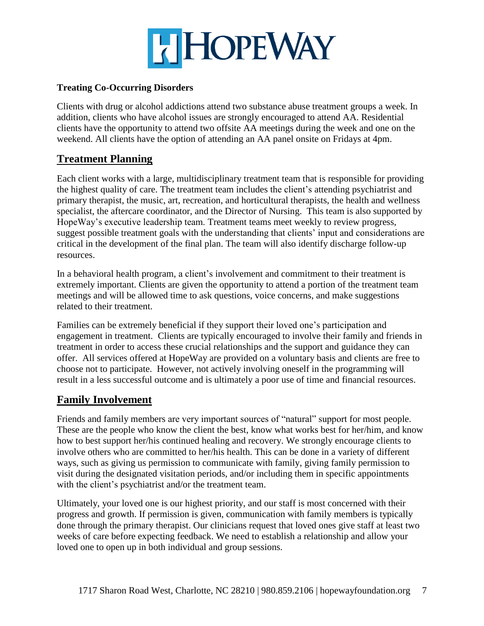

#### **Treating Co-Occurring Disorders**

Clients with drug or alcohol addictions attend two substance abuse treatment groups a week. In addition, clients who have alcohol issues are strongly encouraged to attend AA. Residential clients have the opportunity to attend two offsite AA meetings during the week and one on the weekend. All clients have the option of attending an AA panel onsite on Fridays at 4pm.

## **Treatment Planning**

Each client works with a large, multidisciplinary treatment team that is responsible for providing the highest quality of care. The treatment team includes the client's attending psychiatrist and primary therapist, the music, art, recreation, and horticultural therapists, the health and wellness specialist, the aftercare coordinator, and the Director of Nursing. This team is also supported by HopeWay's executive leadership team. Treatment teams meet weekly to review progress, suggest possible treatment goals with the understanding that clients' input and considerations are critical in the development of the final plan. The team will also identify discharge follow-up resources.

In a behavioral health program, a client's involvement and commitment to their treatment is extremely important. Clients are given the opportunity to attend a portion of the treatment team meetings and will be allowed time to ask questions, voice concerns, and make suggestions related to their treatment.

Families can be extremely beneficial if they support their loved one's participation and engagement in treatment. Clients are typically encouraged to involve their family and friends in treatment in order to access these crucial relationships and the support and guidance they can offer. All services offered at HopeWay are provided on a voluntary basis and clients are free to choose not to participate. However, not actively involving oneself in the programming will result in a less successful outcome and is ultimately a poor use of time and financial resources.

## **Family Involvement**

Friends and family members are very important sources of "natural" support for most people. These are the people who know the client the best, know what works best for her/him, and know how to best support her/his continued healing and recovery. We strongly encourage clients to involve others who are committed to her/his health. This can be done in a variety of different ways, such as giving us permission to communicate with family, giving family permission to visit during the designated visitation periods, and/or including them in specific appointments with the client's psychiatrist and/or the treatment team.

Ultimately, your loved one is our highest priority, and our staff is most concerned with their progress and growth. If permission is given, communication with family members is typically done through the primary therapist. Our clinicians request that loved ones give staff at least two weeks of care before expecting feedback. We need to establish a relationship and allow your loved one to open up in both individual and group sessions.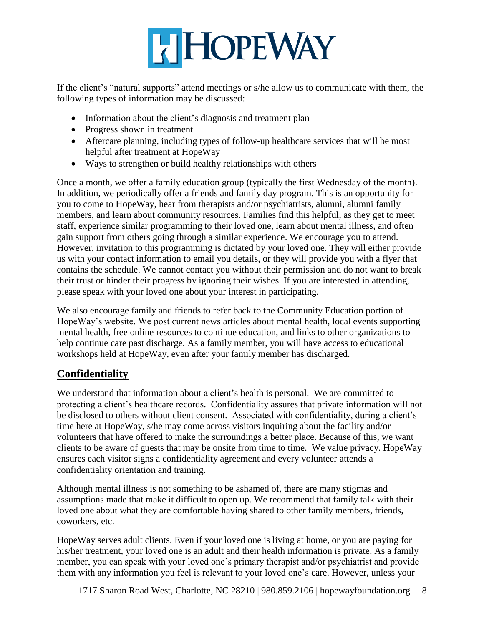

If the client's "natural supports" attend meetings or s/he allow us to communicate with them, the following types of information may be discussed:

- Information about the client's diagnosis and treatment plan
- Progress shown in treatment
- Aftercare planning, including types of follow-up healthcare services that will be most helpful after treatment at HopeWay
- Ways to strengthen or build healthy relationships with others

Once a month, we offer a family education group (typically the first Wednesday of the month). In addition, we periodically offer a friends and family day program. This is an opportunity for you to come to HopeWay, hear from therapists and/or psychiatrists, alumni, alumni family members, and learn about community resources. Families find this helpful, as they get to meet staff, experience similar programming to their loved one, learn about mental illness, and often gain support from others going through a similar experience. We encourage you to attend. However, invitation to this programming is dictated by your loved one. They will either provide us with your contact information to email you details, or they will provide you with a flyer that contains the schedule. We cannot contact you without their permission and do not want to break their trust or hinder their progress by ignoring their wishes. If you are interested in attending, please speak with your loved one about your interest in participating.

We also encourage family and friends to refer back to the Community Education portion of HopeWay's website. We post current news articles about mental health, local events supporting mental health, free online resources to continue education, and links to other organizations to help continue care past discharge. As a family member, you will have access to educational workshops held at HopeWay, even after your family member has discharged.

## **Confidentiality**

We understand that information about a client's health is personal. We are committed to protecting a client's healthcare records. Confidentiality assures that private information will not be disclosed to others without client consent. Associated with confidentiality, during a client's time here at HopeWay, s/he may come across visitors inquiring about the facility and/or volunteers that have offered to make the surroundings a better place. Because of this, we want clients to be aware of guests that may be onsite from time to time. We value privacy. HopeWay ensures each visitor signs a confidentiality agreement and every volunteer attends a confidentiality orientation and training.

Although mental illness is not something to be ashamed of, there are many stigmas and assumptions made that make it difficult to open up. We recommend that family talk with their loved one about what they are comfortable having shared to other family members, friends, coworkers, etc.

HopeWay serves adult clients. Even if your loved one is living at home, or you are paying for his/her treatment, your loved one is an adult and their health information is private. As a family member, you can speak with your loved one's primary therapist and/or psychiatrist and provide them with any information you feel is relevant to your loved one's care. However, unless your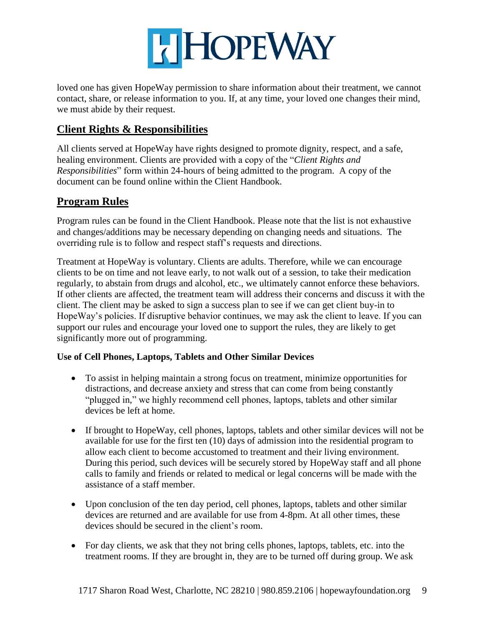

loved one has given HopeWay permission to share information about their treatment, we cannot contact, share, or release information to you. If, at any time, your loved one changes their mind, we must abide by their request.

## **Client Rights & Responsibilities**

All clients served at HopeWay have rights designed to promote dignity, respect, and a safe, healing environment. Clients are provided with a copy of the "*Client Rights and Responsibilities*" form within 24-hours of being admitted to the program. A copy of the document can be found online within the Client Handbook.

## **Program Rules**

Program rules can be found in the Client Handbook. Please note that the list is not exhaustive and changes/additions may be necessary depending on changing needs and situations. The overriding rule is to follow and respect staff's requests and directions.

Treatment at HopeWay is voluntary. Clients are adults. Therefore, while we can encourage clients to be on time and not leave early, to not walk out of a session, to take their medication regularly, to abstain from drugs and alcohol, etc., we ultimately cannot enforce these behaviors. If other clients are affected, the treatment team will address their concerns and discuss it with the client. The client may be asked to sign a success plan to see if we can get client buy-in to HopeWay's policies. If disruptive behavior continues, we may ask the client to leave. If you can support our rules and encourage your loved one to support the rules, they are likely to get significantly more out of programming.

#### **Use of Cell Phones, Laptops, Tablets and Other Similar Devices**

- To assist in helping maintain a strong focus on treatment, minimize opportunities for distractions, and decrease anxiety and stress that can come from being constantly "plugged in," we highly recommend cell phones, laptops, tablets and other similar devices be left at home.
- If brought to HopeWay, cell phones, laptops, tablets and other similar devices will not be available for use for the first ten (10) days of admission into the residential program to allow each client to become accustomed to treatment and their living environment. During this period, such devices will be securely stored by HopeWay staff and all phone calls to family and friends or related to medical or legal concerns will be made with the assistance of a staff member.
- Upon conclusion of the ten day period, cell phones, laptops, tablets and other similar devices are returned and are available for use from 4-8pm. At all other times, these devices should be secured in the client's room.
- For day clients, we ask that they not bring cells phones, laptops, tablets, etc. into the treatment rooms. If they are brought in, they are to be turned off during group. We ask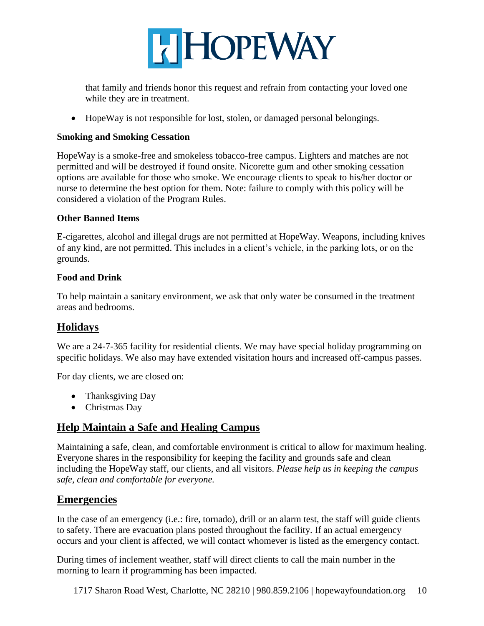

that family and friends honor this request and refrain from contacting your loved one while they are in treatment.

• HopeWay is not responsible for lost, stolen, or damaged personal belongings.

#### **Smoking and Smoking Cessation**

HopeWay is a smoke-free and smokeless tobacco-free campus. Lighters and matches are not permitted and will be destroyed if found onsite. Nicorette gum and other smoking cessation options are available for those who smoke. We encourage clients to speak to his/her doctor or nurse to determine the best option for them. Note: failure to comply with this policy will be considered a violation of the Program Rules.

#### **Other Banned Items**

E-cigarettes, alcohol and illegal drugs are not permitted at HopeWay. Weapons, including knives of any kind, are not permitted. This includes in a client's vehicle, in the parking lots, or on the grounds.

#### **Food and Drink**

To help maintain a sanitary environment, we ask that only water be consumed in the treatment areas and bedrooms.

## **Holidays**

We are a 24-7-365 facility for residential clients. We may have special holiday programming on specific holidays. We also may have extended visitation hours and increased off-campus passes.

For day clients, we are closed on:

- Thanksgiving Day
- Christmas Day

## **Help Maintain a Safe and Healing Campus**

Maintaining a safe, clean, and comfortable environment is critical to allow for maximum healing. Everyone shares in the responsibility for keeping the facility and grounds safe and clean including the HopeWay staff, our clients, and all visitors. *Please help us in keeping the campus safe, clean and comfortable for everyone.*

## **Emergencies**

In the case of an emergency (i.e.: fire, tornado), drill or an alarm test, the staff will guide clients to safety. There are evacuation plans posted throughout the facility. If an actual emergency occurs and your client is affected, we will contact whomever is listed as the emergency contact.

During times of inclement weather, staff will direct clients to call the main number in the morning to learn if programming has been impacted.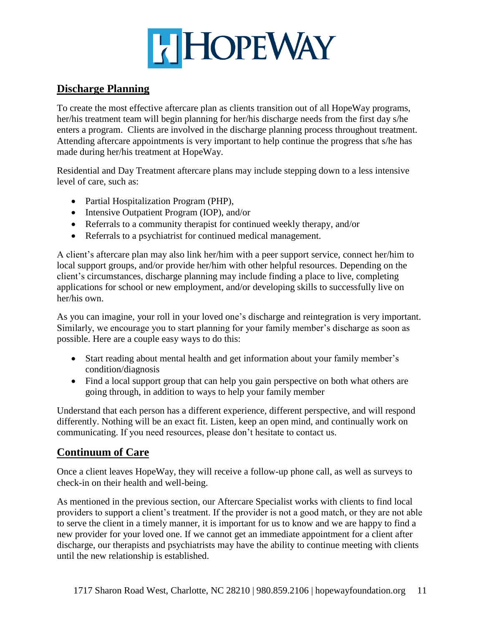## **HEIMAY**

## **Discharge Planning**

To create the most effective aftercare plan as clients transition out of all HopeWay programs, her/his treatment team will begin planning for her/his discharge needs from the first day s/he enters a program. Clients are involved in the discharge planning process throughout treatment. Attending aftercare appointments is very important to help continue the progress that s/he has made during her/his treatment at HopeWay.

Residential and Day Treatment aftercare plans may include stepping down to a less intensive level of care, such as:

- Partial Hospitalization Program (PHP),
- Intensive Outpatient Program (IOP), and/or
- Referrals to a community therapist for continued weekly therapy, and/or
- Referrals to a psychiatrist for continued medical management.

A client's aftercare plan may also link her/him with a peer support service, connect her/him to local support groups, and/or provide her/him with other helpful resources. Depending on the client's circumstances, discharge planning may include finding a place to live, completing applications for school or new employment, and/or developing skills to successfully live on her/his own.

As you can imagine, your roll in your loved one's discharge and reintegration is very important. Similarly, we encourage you to start planning for your family member's discharge as soon as possible. Here are a couple easy ways to do this:

- Start reading about mental health and get information about your family member's condition/diagnosis
- Find a local support group that can help you gain perspective on both what others are going through, in addition to ways to help your family member

Understand that each person has a different experience, different perspective, and will respond differently. Nothing will be an exact fit. Listen, keep an open mind, and continually work on communicating. If you need resources, please don't hesitate to contact us.

## **Continuum of Care**

Once a client leaves HopeWay, they will receive a follow-up phone call, as well as surveys to check-in on their health and well-being.

As mentioned in the previous section, our Aftercare Specialist works with clients to find local providers to support a client's treatment. If the provider is not a good match, or they are not able to serve the client in a timely manner, it is important for us to know and we are happy to find a new provider for your loved one. If we cannot get an immediate appointment for a client after discharge, our therapists and psychiatrists may have the ability to continue meeting with clients until the new relationship is established.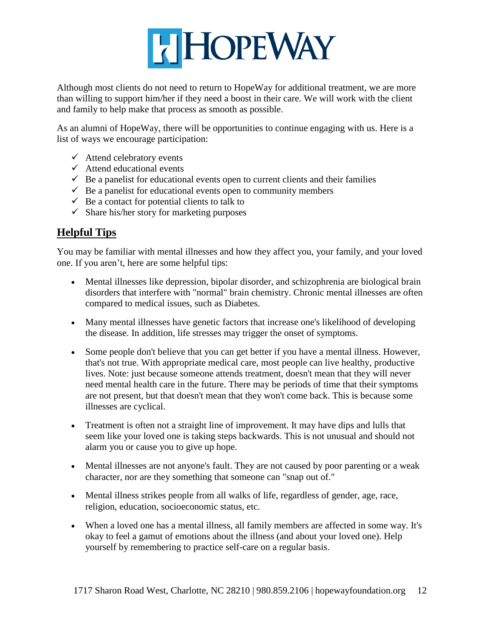

Although most clients do not need to return to HopeWay for additional treatment, we are more than willing to support him/her if they need a boost in their care. We will work with the client and family to help make that process as smooth as possible.

As an alumni of HopeWay, there will be opportunities to continue engaging with us. Here is a list of ways we encourage participation:

- $\checkmark$  Attend celebratory events
- $\checkmark$  Attend educational events
- $\checkmark$  Be a panelist for educational events open to current clients and their families
- $\checkmark$  Be a panelist for educational events open to community members
- $\checkmark$  Be a contact for potential clients to talk to
- $\checkmark$  Share his/her story for marketing purposes

## **Helpful Tips**

You may be familiar with mental illnesses and how they affect you, your family, and your loved one. If you aren't, here are some helpful tips:

- Mental illnesses like depression, bipolar disorder, and schizophrenia are biological brain disorders that interfere with "normal" brain chemistry. Chronic mental illnesses are often compared to medical issues, such as Diabetes.
- Many mental illnesses have genetic factors that increase one's likelihood of developing the disease. In addition, life stresses may trigger the onset of symptoms.
- Some people don't believe that you can get better if you have a mental illness. However, that's not true. With appropriate medical care, most people can live healthy, productive lives. Note: just because someone attends treatment, doesn't mean that they will never need mental health care in the future. There may be periods of time that their symptoms are not present, but that doesn't mean that they won't come back. This is because some illnesses are cyclical.
- Treatment is often not a straight line of improvement. It may have dips and lulls that seem like your loved one is taking steps backwards. This is not unusual and should not alarm you or cause you to give up hope.
- Mental illnesses are not anyone's fault. They are not caused by poor parenting or a weak character, nor are they something that someone can "snap out of."
- Mental illness strikes people from all walks of life, regardless of gender, age, race, religion, education, socioeconomic status, etc.
- When a loved one has a mental illness, all family members are affected in some way. It's okay to feel a gamut of emotions about the illness (and about your loved one). Help yourself by remembering to practice self-care on a regular basis.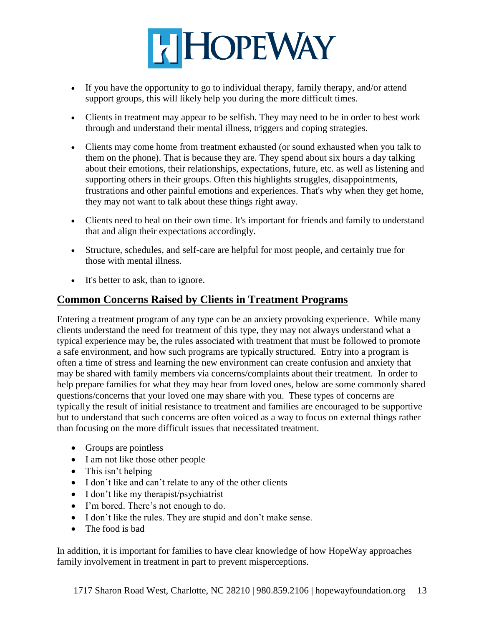

- If you have the opportunity to go to individual therapy, family therapy, and/or attend support groups, this will likely help you during the more difficult times.
- Clients in treatment may appear to be selfish. They may need to be in order to best work through and understand their mental illness, triggers and coping strategies.
- Clients may come home from treatment exhausted (or sound exhausted when you talk to them on the phone). That is because they are. They spend about six hours a day talking about their emotions, their relationships, expectations, future, etc. as well as listening and supporting others in their groups. Often this highlights struggles, disappointments, frustrations and other painful emotions and experiences. That's why when they get home, they may not want to talk about these things right away.
- Clients need to heal on their own time. It's important for friends and family to understand that and align their expectations accordingly.
- Structure, schedules, and self-care are helpful for most people, and certainly true for those with mental illness.
- It's better to ask, than to ignore.

## **Common Concerns Raised by Clients in Treatment Programs**

Entering a treatment program of any type can be an anxiety provoking experience. While many clients understand the need for treatment of this type, they may not always understand what a typical experience may be, the rules associated with treatment that must be followed to promote a safe environment, and how such programs are typically structured. Entry into a program is often a time of stress and learning the new environment can create confusion and anxiety that may be shared with family members via concerns/complaints about their treatment. In order to help prepare families for what they may hear from loved ones, below are some commonly shared questions/concerns that your loved one may share with you. These types of concerns are typically the result of initial resistance to treatment and families are encouraged to be supportive but to understand that such concerns are often voiced as a way to focus on external things rather than focusing on the more difficult issues that necessitated treatment.

- Groups are pointless
- I am not like those other people
- $\bullet$  This isn't helping
- I don't like and can't relate to any of the other clients
- I don't like my therapist/psychiatrist
- I'm bored. There's not enough to do.
- I don't like the rules. They are stupid and don't make sense.
- The food is bad

In addition, it is important for families to have clear knowledge of how HopeWay approaches family involvement in treatment in part to prevent misperceptions.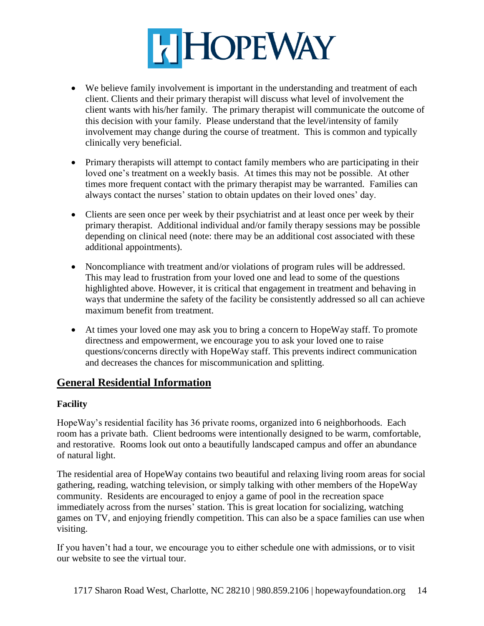# **HEIMAY**

- We believe family involvement is important in the understanding and treatment of each client. Clients and their primary therapist will discuss what level of involvement the client wants with his/her family. The primary therapist will communicate the outcome of this decision with your family. Please understand that the level/intensity of family involvement may change during the course of treatment. This is common and typically clinically very beneficial.
- Primary therapists will attempt to contact family members who are participating in their loved one's treatment on a weekly basis. At times this may not be possible. At other times more frequent contact with the primary therapist may be warranted. Families can always contact the nurses' station to obtain updates on their loved ones' day.
- Clients are seen once per week by their psychiatrist and at least once per week by their primary therapist. Additional individual and/or family therapy sessions may be possible depending on clinical need (note: there may be an additional cost associated with these additional appointments).
- Noncompliance with treatment and/or violations of program rules will be addressed. This may lead to frustration from your loved one and lead to some of the questions highlighted above. However, it is critical that engagement in treatment and behaving in ways that undermine the safety of the facility be consistently addressed so all can achieve maximum benefit from treatment.
- At times your loved one may ask you to bring a concern to HopeWay staff. To promote directness and empowerment, we encourage you to ask your loved one to raise questions/concerns directly with HopeWay staff. This prevents indirect communication and decreases the chances for miscommunication and splitting.

## **General Residential Information**

#### **Facility**

HopeWay's residential facility has 36 private rooms, organized into 6 neighborhoods. Each room has a private bath. Client bedrooms were intentionally designed to be warm, comfortable, and restorative. Rooms look out onto a beautifully landscaped campus and offer an abundance of natural light.

The residential area of HopeWay contains two beautiful and relaxing living room areas for social gathering, reading, watching television, or simply talking with other members of the HopeWay community. Residents are encouraged to enjoy a game of pool in the recreation space immediately across from the nurses' station. This is great location for socializing, watching games on TV, and enjoying friendly competition. This can also be a space families can use when visiting.

If you haven't had a tour, we encourage you to either schedule one with admissions, or to visit our website to see the virtual tour.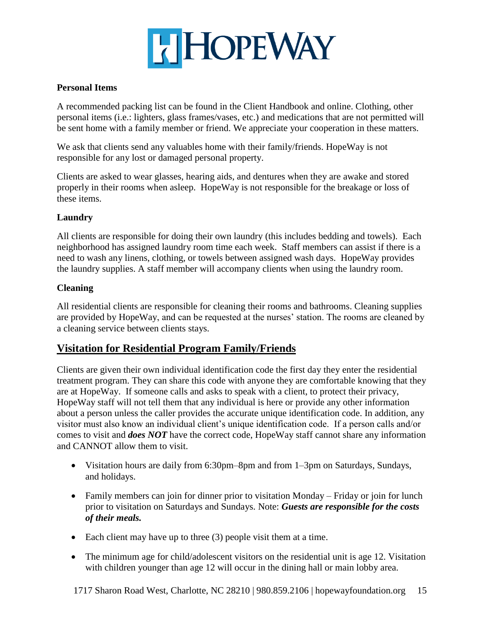

#### **Personal Items**

A recommended packing list can be found in the Client Handbook and online. Clothing, other personal items (i.e.: lighters, glass frames/vases, etc.) and medications that are not permitted will be sent home with a family member or friend. We appreciate your cooperation in these matters.

We ask that clients send any valuables home with their family/friends. HopeWay is not responsible for any lost or damaged personal property.

Clients are asked to wear glasses, hearing aids, and dentures when they are awake and stored properly in their rooms when asleep. HopeWay is not responsible for the breakage or loss of these items.

#### **Laundry**

All clients are responsible for doing their own laundry (this includes bedding and towels). Each neighborhood has assigned laundry room time each week. Staff members can assist if there is a need to wash any linens, clothing, or towels between assigned wash days. HopeWay provides the laundry supplies. A staff member will accompany clients when using the laundry room.

#### **Cleaning**

All residential clients are responsible for cleaning their rooms and bathrooms. Cleaning supplies are provided by HopeWay, and can be requested at the nurses' station. The rooms are cleaned by a cleaning service between clients stays.

## **Visitation for Residential Program Family/Friends**

Clients are given their own individual identification code the first day they enter the residential treatment program. They can share this code with anyone they are comfortable knowing that they are at HopeWay. If someone calls and asks to speak with a client, to protect their privacy, HopeWay staff will not tell them that any individual is here or provide any other information about a person unless the caller provides the accurate unique identification code. In addition, any visitor must also know an individual client's unique identification code. If a person calls and/or comes to visit and *does NOT* have the correct code, HopeWay staff cannot share any information and CANNOT allow them to visit.

- Visitation hours are daily from 6:30pm–8pm and from 1–3pm on Saturdays, Sundays, and holidays.
- Family members can join for dinner prior to visitation Monday Friday or join for lunch prior to visitation on Saturdays and Sundays. Note: *Guests are responsible for the costs of their meals.*
- Each client may have up to three  $(3)$  people visit them at a time.
- The minimum age for child/adolescent visitors on the residential unit is age 12. Visitation with children younger than age 12 will occur in the dining hall or main lobby area.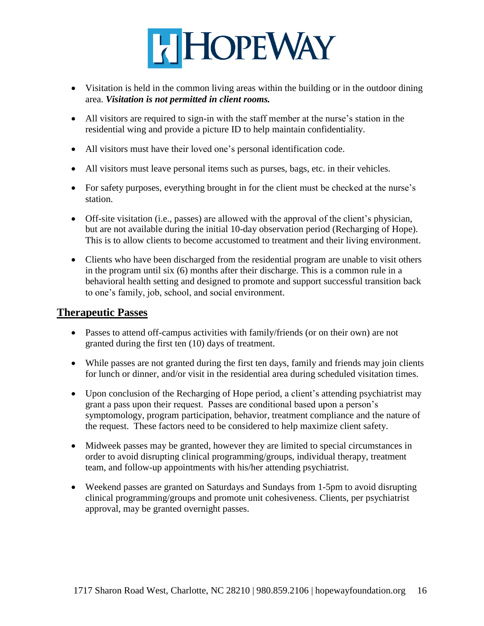

- Visitation is held in the common living areas within the building or in the outdoor dining area. *Visitation is not permitted in client rooms.*
- All visitors are required to sign-in with the staff member at the nurse's station in the residential wing and provide a picture ID to help maintain confidentiality.
- All visitors must have their loved one's personal identification code.
- All visitors must leave personal items such as purses, bags, etc. in their vehicles.
- For safety purposes, everything brought in for the client must be checked at the nurse's station.
- Off-site visitation (i.e., passes) are allowed with the approval of the client's physician, but are not available during the initial 10-day observation period (Recharging of Hope). This is to allow clients to become accustomed to treatment and their living environment.
- Clients who have been discharged from the residential program are unable to visit others in the program until six (6) months after their discharge. This is a common rule in a behavioral health setting and designed to promote and support successful transition back to one's family, job, school, and social environment.

#### **Therapeutic Passes**

- Passes to attend off-campus activities with family/friends (or on their own) are not granted during the first ten (10) days of treatment.
- While passes are not granted during the first ten days, family and friends may join clients for lunch or dinner, and/or visit in the residential area during scheduled visitation times.
- Upon conclusion of the Recharging of Hope period, a client's attending psychiatrist may grant a pass upon their request. Passes are conditional based upon a person's symptomology, program participation, behavior, treatment compliance and the nature of the request. These factors need to be considered to help maximize client safety.
- Midweek passes may be granted, however they are limited to special circumstances in order to avoid disrupting clinical programming/groups, individual therapy, treatment team, and follow-up appointments with his/her attending psychiatrist.
- Weekend passes are granted on Saturdays and Sundays from 1-5pm to avoid disrupting clinical programming/groups and promote unit cohesiveness. Clients, per psychiatrist approval, may be granted overnight passes.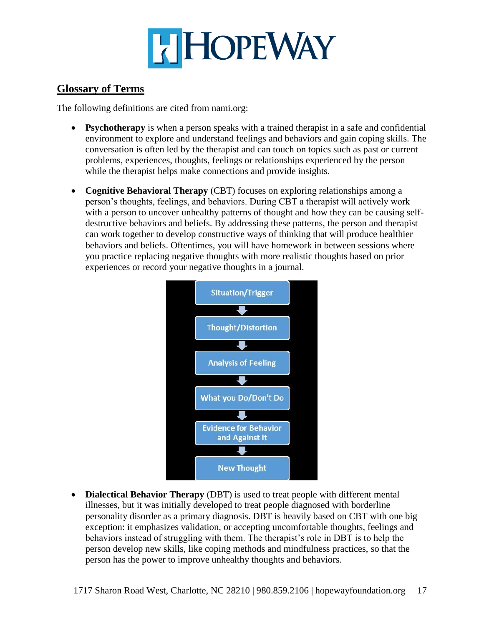

### **Glossary of Terms**

The following definitions are cited from nami.org:

- **Psychotherapy** is when a person speaks with a trained therapist in a safe and confidential environment to explore and understand feelings and behaviors and gain coping skills. The conversation is often led by the therapist and can touch on topics such as past or current problems, experiences, thoughts, feelings or relationships experienced by the person while the therapist helps make connections and provide insights.
- **Cognitive Behavioral Therapy** (CBT) focuses on exploring relationships among a person's thoughts, feelings, and behaviors. During CBT a therapist will actively work with a person to uncover unhealthy patterns of thought and how they can be causing selfdestructive behaviors and beliefs. By addressing these patterns, the person and therapist can work together to develop constructive ways of thinking that will produce healthier behaviors and beliefs. Oftentimes, you will have homework in between sessions where you practice replacing negative thoughts with more realistic thoughts based on prior experiences or record your negative thoughts in a journal.



 **Dialectical Behavior Therapy** (DBT) is used to treat people with different mental illnesses, but it was initially developed to treat people diagnosed with borderline personality disorder as a primary diagnosis. DBT is heavily based on CBT with one big exception: it emphasizes validation, or accepting uncomfortable thoughts, feelings and behaviors instead of struggling with them. The therapist's role in DBT is to help the person develop new skills, like coping methods and mindfulness practices, so that the person has the power to improve unhealthy thoughts and behaviors.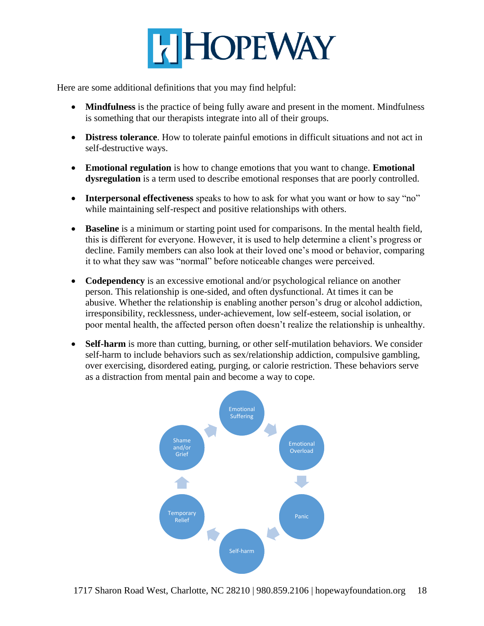

Here are some additional definitions that you may find helpful:

- **Mindfulness** is the practice of being fully aware and present in the moment. Mindfulness is something that our therapists integrate into all of their groups.
- **Distress tolerance**. How to tolerate painful emotions in difficult situations and not act in self-destructive ways.
- **Emotional regulation** is how to change emotions that you want to change. **Emotional dysregulation** is a term used to describe emotional responses that are poorly controlled.
- **Interpersonal effectiveness** speaks to how to ask for what you want or how to say "no" while maintaining self-respect and positive relationships with others.
- **Baseline** is a minimum or starting point used for comparisons. In the mental health field, this is different for everyone. However, it is used to help determine a client's progress or decline. Family members can also look at their loved one's mood or behavior, comparing it to what they saw was "normal" before noticeable changes were perceived.
- **Codependency** is an excessive emotional and/or psychological reliance on another person. This relationship is one-sided, and often dysfunctional. At times it can be abusive. Whether the relationship is enabling another person's drug or alcohol addiction, irresponsibility, recklessness, under-achievement, low self-esteem, social isolation, or poor mental health, the affected person often doesn't realize the relationship is unhealthy.
- **Self-harm** is more than cutting, burning, or other self-mutilation behaviors. We consider self-harm to include behaviors such as sex/relationship addiction, compulsive gambling, over exercising, disordered eating, purging, or calorie restriction. These behaviors serve as a distraction from mental pain and become a way to cope.

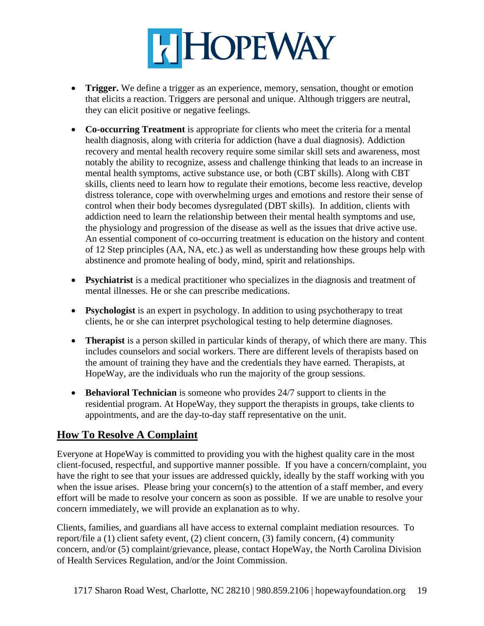# **HEIMAY**

- **Trigger.** We define a trigger as an experience, memory, sensation, thought or emotion that elicits a reaction. Triggers are personal and unique. Although triggers are neutral, they can elicit positive or negative feelings.
- **Co-occurring Treatment** is appropriate for clients who meet the criteria for a mental health diagnosis, along with criteria for addiction (have a dual diagnosis). Addiction recovery and mental health recovery require some similar skill sets and awareness, most notably the ability to recognize, assess and challenge thinking that leads to an increase in mental health symptoms, active substance use, or both (CBT skills). Along with CBT skills, clients need to learn how to regulate their emotions, become less reactive, develop distress tolerance, cope with overwhelming urges and emotions and restore their sense of control when their body becomes dysregulated (DBT skills). In addition, clients with addiction need to learn the relationship between their mental health symptoms and use, the physiology and progression of the disease as well as the issues that drive active use. An essential component of co-occurring treatment is education on the history and content of 12 Step principles (AA, NA, etc.) as well as understanding how these groups help with abstinence and promote healing of body, mind, spirit and relationships.
- **Psychiatrist** is a medical practitioner who specializes in the diagnosis and treatment of mental illnesses. He or she can prescribe medications.
- **Psychologist** is an expert in psychology. In addition to using psychotherapy to treat clients, he or she can interpret psychological testing to help determine diagnoses.
- **Therapist** is a person skilled in particular kinds of therapy, of which there are many. This includes counselors and social workers. There are different levels of therapists based on the amount of training they have and the credentials they have earned. Therapists, at HopeWay, are the individuals who run the majority of the group sessions.
- **Behavioral Technician** is someone who provides 24/7 support to clients in the residential program. At HopeWay, they support the therapists in groups, take clients to appointments, and are the day-to-day staff representative on the unit.

## **How To Resolve A Complaint**

Everyone at HopeWay is committed to providing you with the highest quality care in the most client-focused, respectful, and supportive manner possible. If you have a concern/complaint, you have the right to see that your issues are addressed quickly, ideally by the staff working with you when the issue arises. Please bring your concern(s) to the attention of a staff member, and every effort will be made to resolve your concern as soon as possible. If we are unable to resolve your concern immediately, we will provide an explanation as to why.

Clients, families, and guardians all have access to external complaint mediation resources. To report/file a (1) client safety event, (2) client concern, (3) family concern, (4) community concern, and/or (5) complaint/grievance, please, contact HopeWay, the North Carolina Division of Health Services Regulation, and/or the Joint Commission.